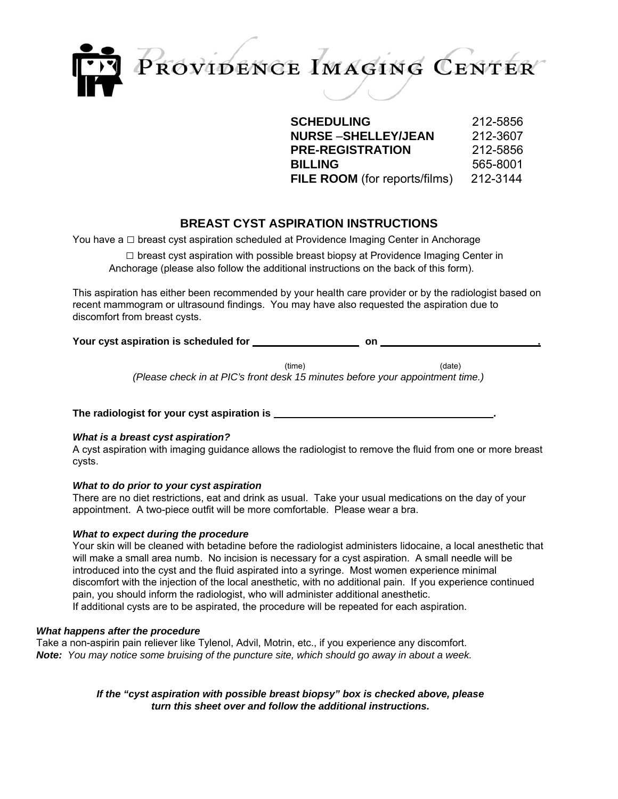

**SCHEDULING** 212-5856 **NURSE** –**SHELLEY/JEAN** 212-3607 **PRE-REGISTRATION** 212-5856 **BILLING** 565-8001 **FILE ROOM** (for reports/films) 212-3144

# **BREAST CYST ASPIRATION INSTRUCTIONS**

You have a  $\Box$  breast cyst aspiration scheduled at Providence Imaging Center in Anchorage

 $\square$  breast cyst aspiration with possible breast biopsy at Providence Imaging Center in Anchorage (please also follow the additional instructions on the back of this form).

This aspiration has either been recommended by your health care provider or by the radiologist based on recent mammogram or ultrasound findings. You may have also requested the aspiration due to discomfort from breast cysts.

Your cyst aspiration is scheduled for **contained the set of the set of the SV** on .

(time) (date)

*(Please check in at PIC's front desk 15 minutes before your appointment time.)*

**The radiologist for your cyst aspiration is .**

# *What is a breast cyst aspiration?*

A cyst aspiration with imaging guidance allows the radiologist to remove the fluid from one or more breast cysts.

# *What to do prior to your cyst aspiration*

There are no diet restrictions, eat and drink as usual. Take your usual medications on the day of your appointment. A two-piece outfit will be more comfortable. Please wear a bra.

# *What to expect during the procedure*

Your skin will be cleaned with betadine before the radiologist administers lidocaine, a local anesthetic that will make a small area numb. No incision is necessary for a cyst aspiration. A small needle will be introduced into the cyst and the fluid aspirated into a syringe. Most women experience minimal discomfort with the injection of the local anesthetic, with no additional pain. If you experience continued pain, you should inform the radiologist, who will administer additional anesthetic. If additional cysts are to be aspirated, the procedure will be repeated for each aspiration.

# *What happens after the procedure*

Take a non-aspirin pain reliever like Tylenol, Advil, Motrin, etc., if you experience any discomfort. *Note: You may notice some bruising of the puncture site, which should go away in about a week.*

> *If the "cyst aspiration with possible breast biopsy" box is checked above, please turn this sheet over and follow the additional instructions.*